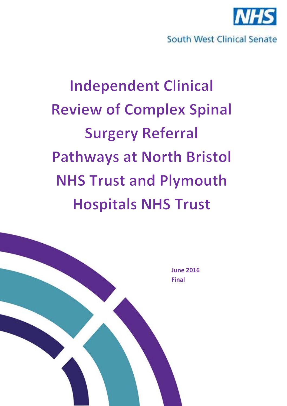

# South West Clinical Senate

# **Independent Clinical Review of Complex Spinal Surgery Referral Pathways at North Bristol NHS Trust and Plymouth Hospitals NHS Trust**

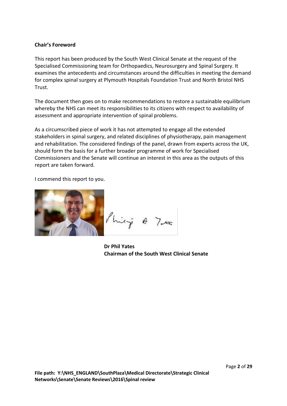#### **Chair's Foreword**

This report has been produced by the South West Clinical Senate at the request of the Specialised Commissioning team for Orthopaedics, Neurosurgery and Spinal Surgery. It examines the antecedents and circumstances around the difficulties in meeting the demand for complex spinal surgery at Plymouth Hospitals Foundation Trust and North Bristol NHS Trust.

The document then goes on to make recommendations to restore a sustainable equilibrium whereby the NHS can meet its responsibilities to its citizens with respect to availability of assessment and appropriate intervention of spinal problems.

As a circumscribed piece of work it has not attempted to engage all the extended stakeholders in spinal surgery, and related disciplines of physiotherapy, pain management and rehabilitation. The considered findings of the panel, drawn from experts across the UK, should form the basis for a further broader programme of work for Specialised Commissioners and the Senate will continue an interest in this area as the outputs of this report are taken forward.

I commend this report to you.



Philip & Tra

**Dr Phil Yates Chairman of the South West Clinical Senate**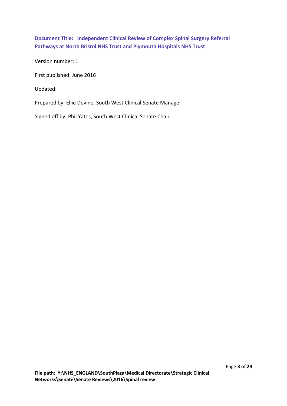**Document Title: Independent Clinical Review of Complex Spinal Surgery Referral Pathways at North Bristol NHS Trust and Plymouth Hospitals NHS Trust**

Version number: 1

First published: June 2016

Updated:

Prepared by: Ellie Devine, South West Clinical Senate Manager

Signed off by: Phil Yates, South West Clinical Senate Chair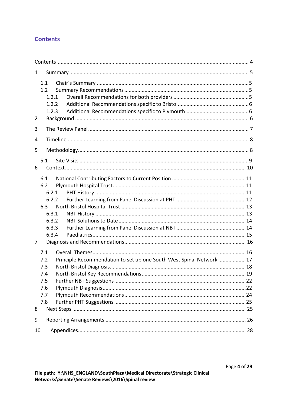# <span id="page-3-0"></span>**Contents**

| $\mathbf{1}$ |                                                                         |                                                                     |  |  |  |
|--------------|-------------------------------------------------------------------------|---------------------------------------------------------------------|--|--|--|
|              | 1.1<br>1.2<br>1.2.1<br>1.2.2<br>1.2.3                                   |                                                                     |  |  |  |
| 2            |                                                                         |                                                                     |  |  |  |
| 3            |                                                                         |                                                                     |  |  |  |
| 4            |                                                                         |                                                                     |  |  |  |
| 5            |                                                                         |                                                                     |  |  |  |
| 6            | 5.1                                                                     |                                                                     |  |  |  |
|              | 6.1<br>6.2<br>6.2.1<br>6.2.2<br>6.3<br>6.3.1<br>6.3.2<br>6.3.3<br>6.3.4 |                                                                     |  |  |  |
| 7<br>8       | 7.1<br>7.2<br>7.3<br>7.4<br>7.5<br>7.6<br>7.7<br>7.8                    | Principle Recommendation to set up one South West Spinal Network 17 |  |  |  |
| 9            |                                                                         |                                                                     |  |  |  |
| 10           |                                                                         |                                                                     |  |  |  |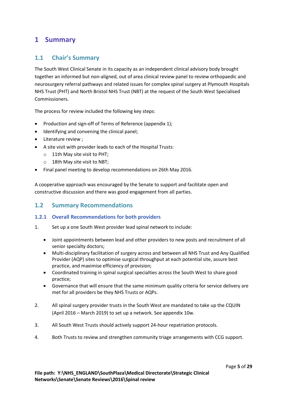# <span id="page-4-0"></span>**1 Summary**

## <span id="page-4-1"></span>**1.1 Chair's Summary**

The South West Clinical Senate in its capacity as an independent clinical advisory body brought together an informed but non-aligned, out of area clinical review panel to review orthopaedic and neurosurgery referral pathways and related issues for complex spinal surgery at Plymouth Hospitals NHS Trust (PHT) and North Bristol NHS Trust (NBT) at the request of the South West Specialised Commissioners.

The process for review included the following key steps:

- Production and sign-off of Terms of Reference (appendix 1);
- Identifying and convening the clinical panel;
- Literature review ;
- A site visit with provider leads to each of the Hospital Trusts:
	- o 11th May site visit to PHT;
	- o 18th May site visit to NBT;
- Final panel meeting to develop recommendations on 26th May 2016.

A cooperative approach was encouraged by the Senate to support and facilitate open and constructive discussion and there was good engagement from all parties.

## <span id="page-4-2"></span>**1.2 Summary Recommendations**

#### <span id="page-4-3"></span>**1.2.1 Overall Recommendations for both providers**

- 1. Set up a one South West provider lead spinal network to include:
	- Joint appointments between lead and other providers to new posts and recruitment of all senior specialty doctors;
	- Multi-disciplinary facilitation of surgery across and between all NHS Trust and Any Qualified Provider (AQP) sites to optimise surgical throughput at each potential site, assure best practice, and maximise efficiency of provision;
	- Coordinated training in spinal surgical specialties across the South West to share good practice;
	- Governance that will ensure that the same minimum quality criteria for service delivery are met for all providers be they NHS Trusts or AQPs.
- 2. All spinal surgery provider trusts in the South West are mandated to take up the CQUIN (April 2016 – March 2019) to set up a network. See appendix 10w.
- 3. All South West Trusts should actively support 24-hour repatriation protocols.
- 4. Both Trusts to review and strengthen community triage arrangements with CCG support.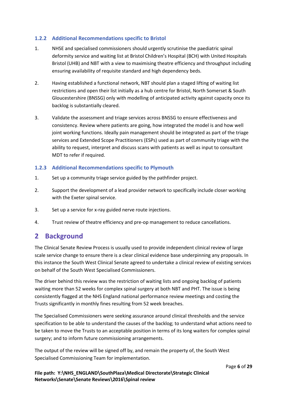#### <span id="page-5-0"></span>**1.2.2 Additional Recommendations specific to Bristol**

- 1. NHSE and specialised commissioners should urgently scrutinise the paediatric spinal deformity service and waiting list at Bristol Children's Hospital (BCH) with United Hospitals Bristol (UHB) and NBT with a view to maximising theatre efficiency and throughput including ensuring availability of requisite standard and high dependency beds.
- 2. Having established a functional network, NBT should plan a staged lifting of waiting list restrictions and open their list initially as a hub centre for Bristol, North Somerset & South Gloucestershire (BNSSG) only with modelling of anticipated activity against capacity once its backlog is substantially cleared.
- 3. Validate the assessment and triage services across BNSSG to ensure effectiveness and consistency. Review where patients are going, how integrated the model is and how well joint working functions. Ideally pain management should be integrated as part of the triage services and Extended Scope Practitioners (ESPs) used as part of community triage with the ability to request, interpret and discuss scans with patients as well as input to consultant MDT to refer if required.

#### <span id="page-5-1"></span>**1.2.3 Additional Recommendations specific to Plymouth**

- 1. Set up a community triage service guided by the pathfinder project.
- 2. Support the development of a lead provider network to specifically include closer working with the Exeter spinal service.
- 3. Set up a service for x-ray guided nerve route injections.
- 4. Trust review of theatre efficiency and pre-op management to reduce cancellations.

# <span id="page-5-2"></span>**2 Background**

The Clinical Senate Review Process is usually used to provide independent clinical review of large scale service change to ensure there is a clear clinical evidence base underpinning any proposals. In this instance the South West Clinical Senate agreed to undertake a clinical review of existing services on behalf of the South West Specialised Commissioners.

The driver behind this review was the restriction of waiting lists and ongoing backlog of patients waiting more than 52 weeks for complex spinal surgery at both NBT and PHT. The issue is being consistently flagged at the NHS England national performance review meetings and costing the Trusts significantly in monthly fines resulting from 52 week breaches.

The Specialised Commissioners were seeking assurance around clinical thresholds and the service specification to be able to understand the causes of the backlog; to understand what actions need to be taken to move the Trusts to an acceptable position in terms of its long waiters for complex spinal surgery; and to inform future commissioning arrangements.

The output of the review will be signed off by, and remain the property of, the South West Specialised Commissioning Team for implementation.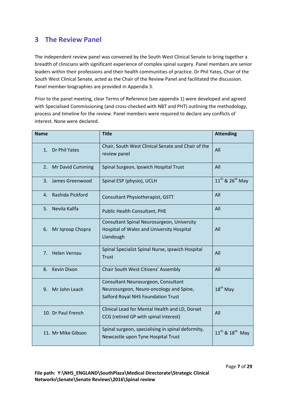# <span id="page-6-0"></span>**3 The Review Panel**

The independent review panel was convened by the South West Clinical Senate to bring together a breadth of clinicians with significant experience of complex spinal surgery. Panel members are senior leaders within their professions and their health communities of practice. Dr Phil Yates, Chair of the South West Clinical Senate, acted as the Chair of the Review Panel and facilitated the discussion. Panel member biographies are provided in Appendix 3.

Prior to the panel meeting, clear Terms of Reference (see appendix 1) were developed and agreed with Specialised Commissioning (and cross-checked with NBT and PHT) outlining the methodology, process and timeline for the review. Panel members were required to declare any conflicts of interest. None were declared.

| <b>Name</b>                           | <b>Title</b>                                                                                                         | <b>Attending</b>                        |
|---------------------------------------|----------------------------------------------------------------------------------------------------------------------|-----------------------------------------|
| 1. Dr Phil Yates                      | Chair, South West Clinical Senate and Chair of the<br>review panel                                                   | All                                     |
| 2.<br>Mr David Cumming                | Spinal Surgeon, Ipswich Hospital Trust                                                                               | All                                     |
| $\overline{3}$ .<br>James Greenwood   | Spinal ESP (physio), UCLH                                                                                            | 11 <sup>th</sup> & 26 <sup>th</sup> May |
| Rashida Pickford<br>4.                | Consultant Physiotherapist, GSTT                                                                                     | All                                     |
| Nevila Kallfa<br>5.                   | Public Health Consultant, PHE                                                                                        | All                                     |
| 6.<br>Mr Igroop Chopra                | Consultant Spinal Neurosurgeon, University<br>Hospital of Wales and University Hospital<br>Llandough                 | All                                     |
| 7 <sub>1</sub><br><b>Helen Vernau</b> | Spinal Specialist Spinal Nurse, Ipswich Hospital<br><b>Trust</b>                                                     | All                                     |
| <b>Kevin Dixon</b><br>8.              | Chair South West Citizens' Assembly                                                                                  | All                                     |
| Mr John Leach<br>9.                   | Consultant Neurosurgeon, Consultant<br>Neurosurgeon, Neuro-oncology and Spine,<br>Salford Royal NHS Foundation Trust | $18th$ May                              |
| 10. Dr Paul French                    | Clinical Lead for Mental Health and LD, Dorset<br>CCG (retired GP with spinal interest)                              | All                                     |
| 11. Mr Mike Gibson                    | Spinal surgeon, specialising in spinal deformity,<br>Newcastle upon Tyne Hospital Trust                              | $11^{th}$ & $18^{th}$ May               |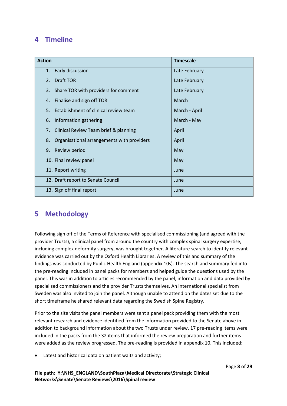# <span id="page-7-0"></span>**4 Timeline**

| <b>Action</b> |                                            | <b>Timescale</b> |
|---------------|--------------------------------------------|------------------|
| 1.            | Early discussion                           | Late February    |
| 2.            | Draft TOR                                  | Late February    |
| 3.            | Share TOR with providers for comment       | Late February    |
| 4.            | Finalise and sign off TOR                  | March            |
| 5.            | Establishment of clinical review team      | March - April    |
| 6.            | Information gathering                      | March - May      |
| 7.            | Clinical Review Team brief & planning      | April            |
| 8.            | Organisational arrangements with providers | April            |
| 9.            | Review period                              | May              |
|               | 10. Final review panel                     | May              |
|               | 11. Report writing                         | June             |
|               | 12. Draft report to Senate Council         | June             |
|               | 13. Sign off final report                  | June             |

# <span id="page-7-1"></span>**5 Methodology**

Following sign off of the Terms of Reference with specialised commissioning (and agreed with the provider Trusts), a clinical panel from around the country with complex spinal surgery expertise, including complex deformity surgery, was brought together. A literature search to identify relevant evidence was carried out by the Oxford Health Libraries. A review of this and summary of the findings was conducted by Public Health England (appendix 10s). The search and summary fed into the pre-reading included in panel packs for members and helped guide the questions used by the panel. This was in addition to articles recommended by the panel, information and data provided by specialised commissioners and the provider Trusts themselves. An international specialist from Sweden was also invited to join the panel. Although unable to attend on the dates set due to the short timeframe he shared relevant data regarding the Swedish Spine Registry.

Prior to the site visits the panel members were sent a panel pack providing them with the most relevant research and evidence identified from the information provided to the Senate above in addition to background information about the two Trusts under review. 17 pre-reading items were included in the packs from the 32 items that informed the review preparation and further items were added as the review progressed. The pre-reading is provided in appendix 10. This included:

Latest and historical data on patient waits and activity;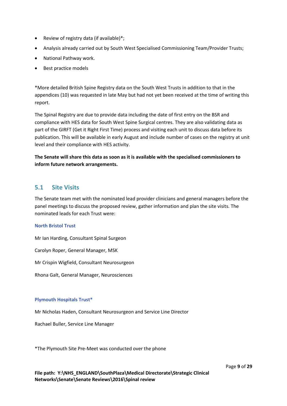- Review of registry data (if available)\*;
- Analysis already carried out by South West Specialised Commissioning Team/Provider Trusts;
- National Pathway work.
- Best practice models

\*More detailed British Spine Registry data on the South West Trusts in addition to that in the appendices (10) was requested in late May but had not yet been received at the time of writing this report.

The Spinal Registry are due to provide data including the date of first entry on the BSR and compliance with HES data for South West Spine Surgical centres. They are also validating data as part of the GIRFT (Get it Right First Time) process and visiting each unit to discuss data before its publication. This will be available in early August and include number of cases on the registry at unit level and their compliance with HES activity.

**The Senate will share this data as soon as it is available with the specialised commissioners to inform future network arrangements.**

## <span id="page-8-0"></span>**5.1 Site Visits**

The Senate team met with the nominated lead provider clinicians and general managers before the panel meetings to discuss the proposed review, gather information and plan the site visits. The nominated leads for each Trust were:

#### **North Bristol Trust**

Mr Ian Harding, Consultant Spinal Surgeon

Carolyn Roper, General Manager, MSK

Mr Crispin Wigfield, Consultant Neurosurgeon

Rhona Galt, General Manager, Neurosciences

#### **Plymouth Hospitals Trust\***

Mr Nicholas Haden, Consultant Neurosurgeon and Service Line Director

Rachael Buller, Service Line Manager

\*The Plymouth Site Pre-Meet was conducted over the phone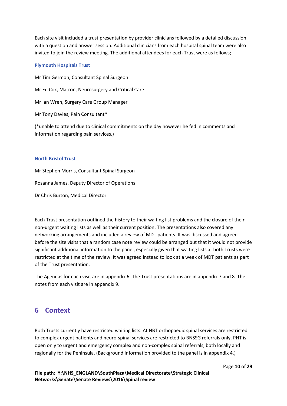Each site visit included a trust presentation by provider clinicians followed by a detailed discussion with a question and answer session. Additional clinicians from each hospital spinal team were also invited to join the review meeting. The additional attendees for each Trust were as follows;

#### **Plymouth Hospitals Trust**

Mr Tim Germon, Consultant Spinal Surgeon Mr Ed Cox, Matron, Neurosurgery and Critical Care Mr Ian Wren, Surgery Care Group Manager Mr Tony Davies, Pain Consultant\*

(\*unable to attend due to clinical commitments on the day however he fed in comments and information regarding pain services.)

#### **North Bristol Trust**

Mr Stephen Morris, Consultant Spinal Surgeon Rosanna James, Deputy Director of Operations Dr Chris Burton, Medical Director

Each Trust presentation outlined the history to their waiting list problems and the closure of their non-urgent waiting lists as well as their current position. The presentations also covered any networking arrangements and included a review of MDT patients. It was discussed and agreed before the site visits that a random case note review could be arranged but that it would not provide significant additional information to the panel, especially given that waiting lists at both Trusts were restricted at the time of the review. It was agreed instead to look at a week of MDT patients as part of the Trust presentation.

The Agendas for each visit are in appendix 6. The Trust presentations are in appendix 7 and 8. The notes from each visit are in appendix 9.

# <span id="page-9-0"></span>**6 Context**

Both Trusts currently have restricted waiting lists. At NBT orthopaedic spinal services are restricted to complex urgent patients and neuro-spinal services are restricted to BNSSG referrals only. PHT is open only to urgent and emergency complex and non-complex spinal referrals, both locally and regionally for the Peninsula. (Background information provided to the panel is in appendix 4.)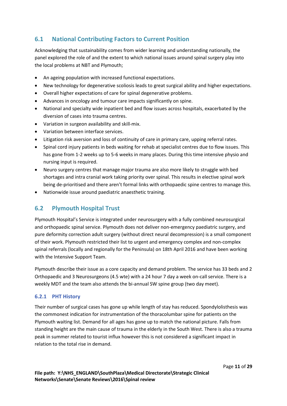# <span id="page-10-0"></span>**6.1 National Contributing Factors to Current Position**

Acknowledging that sustainability comes from wider learning and understanding nationally, the panel explored the role of and the extent to which national issues around spinal surgery play into the local problems at NBT and Plymouth;

- An ageing population with increased functional expectations.
- New technology for degenerative scoliosis leads to great surgical ability and higher expectations.
- Overall higher expectations of care for spinal degenerative problems.
- Advances in oncology and tumour care impacts significantly on spine.
- National and specialty wide inpatient bed and flow issues across hospitals, exacerbated by the diversion of cases into trauma centres.
- Variation in surgeon availability and skill-mix.
- Variation between interface services.
- Litigation risk aversion and loss of continuity of care in primary care, upping referral rates.
- Spinal cord injury patients in beds waiting for rehab at specialist centres due to flow issues. This has gone from 1-2 weeks up to 5-6 weeks in many places. During this time intensive physio and nursing input is required.
- Neuro surgery centres that manage major trauma are also more likely to struggle with bed shortages and intra cranial work taking priority over spinal. This results in elective spinal work being de-prioritised and there aren't formal links with orthopaedic spine centres to manage this.
- Nationwide issue around paediatric anaesthetic training.

# <span id="page-10-1"></span>**6.2 Plymouth Hospital Trust**

Plymouth Hospital's Service is integrated under neurosurgery with a fully combined neurosurgical and orthopaedic spinal service. Plymouth does not deliver non-emergency paediatric surgery, and pure deformity correction adult surgery (without direct neural decompression) is a small component of their work. Plymouth restricted their list to urgent and emergency complex and non-complex spinal referrals (locally and regionally for the Peninsula) on 18th April 2016 and have been working with the Intensive Support Team.

Plymouth describe their issue as a core capacity and demand problem. The service has 33 beds and 2 Orthopaedic and 3 Neurosurgeons (4.5 wte) with a 24 hour 7 day a week on-call service. There is a weekly MDT and the team also attends the bi-annual SW spine group (two day meet).

#### <span id="page-10-2"></span>**6.2.1 PHT History**

Their number of surgical cases has gone up while length of stay has reduced. Spondylolisthesis was the commonest indication for instrumentation of the thoracolumbar spine for patients on the Plymouth waiting list. Demand for all ages has gone up to match the national picture. Falls from standing height are the main cause of trauma in the elderly in the South West. There is also a trauma peak in summer related to tourist influx however this is not considered a significant impact in relation to the total rise in demand.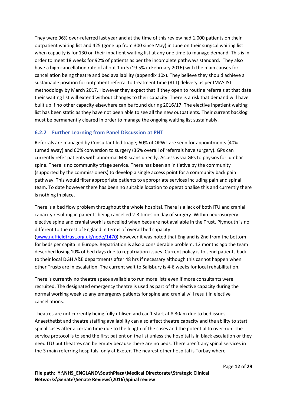They were 96% over-referred last year and at the time of this review had 1,000 patients on their outpatient waiting list and 425 (gone up from 300 since May) in June on their surgical waiting list when capacity is for 130 on their inpatient waiting list at any one time to manage demand. This is in order to meet 18 weeks for 92% of patients as per the incomplete pathways standard. They also have a high cancellation rate of about 1 in 5 (19.5% in February 2016) with the main causes for cancellation being theatre and bed availability (appendix 10x). They believe they should achieve a sustainable position for outpatient referral to treatment time (RTT) delivery as per IMAS IST methodology by March 2017. However they expect that if they open to routine referrals at that date their waiting list will extend without changes to their capacity. There is a risk that demand will have built up if no other capacity elsewhere can be found during 2016/17. The elective inpatient waiting list has been static as they have not been able to see all the new outpatients. Their current backlog must be permanently cleared in order to manage the ongoing waiting list sustainably.

#### <span id="page-11-0"></span>**6.2.2 Further Learning from Panel Discussion at PHT**

Referrals are managed by Consultant led triage; 60% of OPWL are seen for appointments (40% turned away) and 60% conversion to surgery (36% overall of referrals have surgery). GPs can currently refer patients with abnormal MRI scans directly. Access is via GPs to physios for lumbar spine. There is no community triage service. There has been an initiative by the community (supported by the commissioners) to develop a single access point for a community back pain pathway. This would filter appropriate patients to appropriate services including pain and spinal team. To date however there has been no suitable location to operationalise this and currently there is nothing in place.

There is a bed flow problem throughout the whole hospital. There is a lack of both ITU and cranial capacity resulting in patients being cancelled 2-3 times on day of surgery. Within neurosurgery elective spine and cranial work is cancelled when beds are not available in the Trust. Plymouth is no different to the rest of England in terms of overall bed capacity

[\(www.nuffieldtrust.org.uk/node/1470\)](http://www.nuffieldtrust.org.uk/node/1470) however it was noted that England is 2nd from the bottom for beds per capita in Europe. Repatriation is also a considerable problem. 12 months ago the team described losing 10% of bed days due to repatriation issues. Current policy is to send patients back to their local DGH A&E departments after 48 hrs if necessary although this cannot happen when other Trusts are in escalation. The current wait to Salisbury is 4-6 weeks for local rehabilitation.

There is currently no theatre space available to run more lists even if more consultants were recruited. The designated emergency theatre is used as part of the elective capacity during the normal working week so any emergency patients for spine and cranial will result in elective cancellations.

Theatres are not currently being fully utilised and can't start at 8.30am due to bed issues. Anaesthetist and theatre staffing availability can also affect theatre capacity and the ability to start spinal cases after a certain time due to the length of the cases and the potential to over-run. The service protocol is to send the first patient on the list unless the hospital is in black escalation or they need ITU but theatres can be empty because there are no beds. There aren't any spinal services in the 3 main referring hospitals, only at Exeter. The nearest other hospital is Torbay where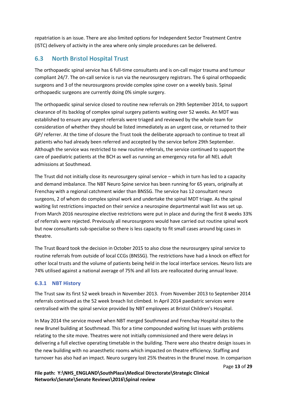repatriation is an issue. There are also limited options for Independent Sector Treatment Centre (ISTC) delivery of activity in the area where only simple procedures can be delivered.

# <span id="page-12-0"></span>**6.3 North Br**i**stol Hospital Trust**

The orthopaedic spinal service has 6 full-time consultants and is on-call major trauma and tumour compliant 24/7. The on-call service is run via the neurosurgery registrars. The 6 spinal orthopaedic surgeons and 3 of the neurosurgeons provide complex spine cover on a weekly basis. Spinal orthopaedic surgeons are currently doing 0% simple surgery.

The orthopaedic spinal service closed to routine new referrals on 29th September 2014, to support clearance of its backlog of complex spinal surgery patients waiting over 52 weeks. An MDT was established to ensure any urgent referrals were triaged and reviewed by the whole team for consideration of whether they should be listed immediately as an urgent case, or returned to their GP/ referrer. At the time of closure the Trust took the deliberate approach to continue to treat all patients who had already been referred and accepted by the service before 29th September. Although the service was restricted to new routine referrals, the service continued to support the care of paediatric patients at the BCH as well as running an emergency rota for all NEL adult admissions at Southmead.

The Trust did not initially close its neurosurgery spinal service – which in turn has led to a capacity and demand imbalance. The NBT Neuro Spine service has been running for 65 years, originally at Frenchay with a regional catchment wider than BNSSG. The service has 12 consultant neuro surgeons, 2 of whom do complex spinal work and undertake the spinal MDT triage. As the spinal waiting list restrictions impacted on their service a neurospine departmental wait list was set up. From March 2016 neurospine elective restrictions were put in place and during the first 8 weeks 33% of referrals were rejected. Previously all neurosurgeons would have carried out routine spinal work but now consultants sub-specialise so there is less capacity to fit small cases around big cases in theatre.

The Trust Board took the decision in October 2015 to also close the neurosurgery spinal service to routine referrals from outside of local CCGs (BNSSG). The restrictions have had a knock on effect for other local trusts and the volume of patients being held in the local interface services. Neuro lists are 74% utilised against a national average of 75% and all lists are reallocated during annual leave.

#### <span id="page-12-1"></span>**6.3.1 NBT History**

The Trust saw its first 52 week breach in November 2013. From November 2013 to September 2014 referrals continued as the 52 week breach list climbed. In April 2014 paediatric services were centralised with the spinal service provided by NBT employees at Bristol Children's Hospital.

In May 2014 the service moved when NBT merged Southmead and Frenchay Hospital sites to the new Brunel building at Southmead. This for a time compounded waiting list issues with problems relating to the site move. Theatres were not initially commissioned and there were delays in delivering a full elective operating timetable in the building. There were also theatre design issues in the new building with no anaesthetic rooms which impacted on theatre efficiency. Staffing and turnover has also had an impact. Neuro surgery lost 25% theatres in the Brunel move. In comparison

Page **13** of **29**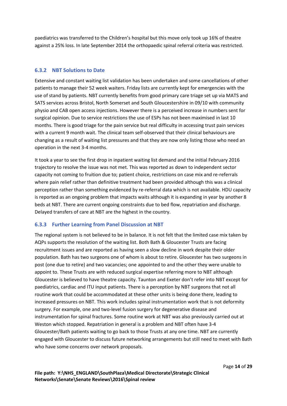paediatrics was transferred to the Children's hospital but this move only took up 16% of theatre against a 25% loss. In late September 2014 the orthopaedic spinal referral criteria was restricted.

#### <span id="page-13-0"></span>**6.3.2 NBT Solutions to Date**

Extensive and constant waiting list validation has been undertaken and some cancellations of other patients to manage their 52 week waiters. Friday lists are currently kept for emergencies with the use of stand by patients. NBT currently benefits from good primary care triage set up via MATS and SATS services across Bristol, North Somerset and South Gloucestershire in 09/10 with community physio and CAB open access injections. However there is a perceived increase in numbers sent for surgical opinion. Due to service restrictions the use of ESPs has not been maximised in last 10 months. There is good triage for the pain service but real difficulty in accessing trust pain services with a current 9 month wait. The clinical team self-observed that their clinical behaviours are changing as a result of waiting list pressures and that they are now only listing those who need an operation in the next 3-4 months.

It took a year to see the first drop in inpatient waiting list demand and the initial February 2016 trajectory to resolve the issue was not met. This was reported as down to independent sector capacity not coming to fruition due to; patient choice, restrictions on case mix and re-referrals where pain relief rather than definitive treatment had been provided although this was a clinical perception rather than something evidenced by re-referral data which is not available. HDU capacity is reported as an ongoing problem that impacts waits although it is expanding in year by another 8 beds at NBT. There are current ongoing constraints due to bed flow, repatriation and discharge. Delayed transfers of care at NBT are the highest in the country.

#### <span id="page-13-1"></span>**6.3.3 Further Learning from Panel Discussion at NBT**

The regional system is not believed to be in balance. It is not felt that the limited case mix taken by AQPs supports the resolution of the waiting list. Both Bath & Gloucester Trusts are facing recruitment issues and are reported as having seen a slow decline in work despite their older population. Bath has two surgeons one of whom is about to retire. Gloucester has two surgeons in post (one due to retire) and two vacancies; one appointed to and the other they were unable to appoint to. These Trusts are with reduced surgical expertise referring more to NBT although Gloucester is believed to have theatre capacity. Taunton and Exeter don't refer into NBT except for paediatrics, cardiac and ITU input patients. There is a perception by NBT surgeons that not all routine work that could be accommodated at these other units is being done there, leading to increased pressures on NBT. This work includes spinal instrumentation work that is not deformity surgery. For example, one and two-level fusion surgery for degenerative disease and instrumentation for spinal fractures. Some routine work at NBT was also previously carried out at Weston which stopped. Repatriation in general is a problem and NBT often have 3-4 Gloucester/Bath patients waiting to go back to those Trusts at any one time. NBT are currently engaged with Gloucester to discuss future networking arrangements but still need to meet with Bath who have some concerns over network proposals.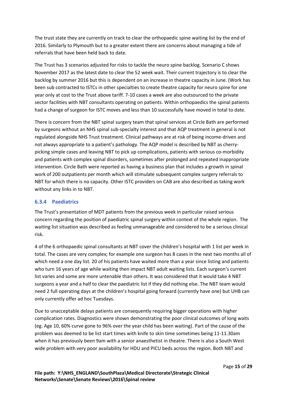The trust state they are currently on track to clear the orthopaedic spine waiting list by the end of 2016. Similarly to Plymouth but to a greater extent there are concerns about managing a tide of referrals that have been held back to date.

The Trust has 3 scenarios adjusted for risks to tackle the neuro spine backlog. Scenario C shows November 2017 as the latest date to clear the 52 week wait. Their current trajectory is to clear the backlog by summer 2016 but this is dependent on an increase in theatre capacity in June. (Work has been sub contracted to ISTCs in other specialties to create theatre capacity for neuro spine for one year only at cost to the Trust above tariff. 7-10 cases a week are also outsourced to the private sector facilities with NBT consultants operating on patients. Within orthopaedics the spinal patients had a change of surgeon for ISTC moves and less than 10 successfully have moved in total to date.

There is concern from the NBT spinal surgery team that spinal services at Circle Bath are performed by surgeons without an NHS spinal sub-specialty interest and that AQP treatment in general is not regulated alongside NHS Trust treatment. Clinical pathways are at risk of being income-driven and not always appropriate to a patient's pathology. The AQP model is described by NBT as cherrypicking simple cases and leaving NBT to pick up complications, patients with serious co-morbidity and patients with complex spinal disorders, sometimes after prolonged and repeated inappropriate intervention. Circle Bath were reported as having a business plan that includes a growth in spinal work of 200 outpatients per month which will stimulate subsequent complex surgery referrals to NBT for which there is no capacity. Other ISTC providers on CAB are also described as taking work without any links in to NBT.

#### <span id="page-14-0"></span>**6.3.4 Paediatrics**

The Trust's presentation of MDT patients from the previous week in particular raised serious concern regarding the position of paediatric spinal surgery within context of the whole region. The waiting list situation was described as feeling unmanageable and considered to be a serious clinical risk.

4 of the 6 orthopaedic spinal consultants at NBT cover the children's hospital with 1 list per week in total. The cases are very complex; for example one surgeon has 8 cases in the next two months all of which need a one day list. 20 of his patients have waited more than a year since listing and patients who turn 16 years of age while waiting then impact NBT adult waiting lists. Each surgeon's current list varies and some are more untenable than others. It was considered that it would take 4 NBT surgeons a year and a half to clear the paediatric list if they did nothing else. The NBT team would need 2 full operating days at the children's hospital going forward (currently have one) but UHB can only currently offer ad hoc Tuesdays.

Due to unacceptable delays patients are consequently requiring bigger operations with higher complication rates. Diagnostics were shown demonstrating the poor clinical outcomes of long waits (eg. Age 10, 60% curve gone to 96% over the year child has been waiting). Part of the cause of the problem was deemed to be list start times with knife to skin time sometimes being 11-11.30am when it has previously been 9am with a senior anaesthetist in theatre. There is also a South West wide problem with very poor availability for HDU and PICU beds across the region. Both NBT and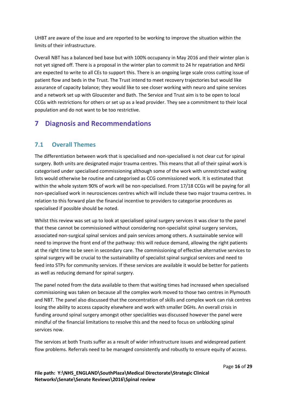UHBT are aware of the issue and are reported to be working to improve the situation within the limits of their infrastructure.

Overall NBT has a balanced bed base but with 100% occupancy in May 2016 and their winter plan is not yet signed off. There is a proposal in the winter plan to commit to 24 hr repatriation and NHSI are expected to write to all CEs to support this. There is an ongoing large scale cross cutting issue of patient flow and beds in the Trust. The Trust intend to meet recovery trajectories but would like assurance of capacity balance; they would like to see closer working with neuro and spine services and a network set up with Gloucester and Bath. The Service and Trust aim is to be open to local CCGs with restrictions for others or set up as a lead provider. They see a commitment to their local population and do not want to be too restrictive.

# <span id="page-15-0"></span>**7 Diagnosis and Recommendations**

# <span id="page-15-1"></span>**7.1 Overall Themes**

The differentiation between work that is specialised and non-specialised is not clear cut for spinal surgery. Both units are designated major trauma centres. This means that all of their spinal work is categorised under specialised commissioning although some of the work with unrestricted waiting lists would otherwise be routine and categorised as CCG commissioned work. It is estimated that within the whole system 90% of work will be non-specialised. From 17/18 CCGs will be paying for all non-specialised work in neurosciences centres which will include these two major trauma centres. In relation to this forward plan the financial incentive to providers to categorise procedures as specialised if possible should be noted.

Whilst this review was set up to look at specialised spinal surgery services it was clear to the panel that these cannot be commissioned without considering non-specialist spinal surgery services, associated non-surgical spinal services and pain services among others. A sustainable service will need to improve the front end of the pathway: this will reduce demand, allowing the right patients at the right time to be seen in secondary care. The commissioning of effective alternative services to spinal surgery will be crucial to the sustainability of specialist spinal surgical services and need to feed into STPs for community services. If these services are available it would be better for patients as well as reducing demand for spinal surgery.

The panel noted from the data available to them that waiting times had increased when specialised commissioning was taken on because all the complex work moved to those two centres in Plymouth and NBT. The panel also discussed that the concentration of skills and complex work can risk centres losing the ability to access capacity elsewhere and work with smaller DGHs. An overall crisis in funding around spinal surgery amongst other specialities was discussed however the panel were mindful of the financial limitations to resolve this and the need to focus on unblocking spinal services now.

The services at both Trusts suffer as a result of wider infrastructure issues and widespread patient flow problems. Referrals need to be managed consistently and robustly to ensure equity of access.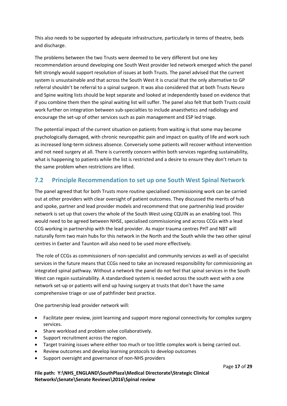This also needs to be supported by adequate infrastructure, particularly in terms of theatre, beds and discharge.

The problems between the two Trusts were deemed to be very different but one key recommendation around developing one South West provider led network emerged which the panel felt strongly would support resolution of issues at both Trusts. The panel advised that the current system is unsustainable and that across the South West it is crucial that the only alternative to GP referral shouldn't be referral to a spinal surgeon. It was also considered that at both Trusts Neuro and Spine waiting lists should be kept separate and looked at independently based on evidence that if you combine them then the spinal waiting list will suffer. The panel also felt that both Trusts could work further on integration between sub-specialties to include anaesthetics and radiology and encourage the set-up of other services such as pain management and ESP led triage.

The potential impact of the current situation on patients from waiting is that some may become psychologically damaged, with chronic neuropathic pain and impact on quality of life and work such as increased long-term sickness absence. Conversely some patients will recover without intervention and not need surgery at all. There is currently concern within both services regarding sustainability, what is happening to patients while the list is restricted and a desire to ensure they don't return to the same problem when restrictions are lifted.

## <span id="page-16-0"></span>**7.2 Principle Recommendation to set up one South West Spinal Network**

The panel agreed that for both Trusts more routine specialised commissioning work can be carried out at other providers with clear oversight of patient outcomes. They discussed the merits of hub and spoke, partner and lead provider models and recommend that one partnership lead provider network is set up that covers the whole of the South West using CQUIN as an enabling tool. This would need to be agreed between NHSE, specialised commissioning and across CCGs with a lead CCG working in partnership with the lead provider. As major trauma centres PHT and NBT will naturally form two main hubs for this network in the North and the South while the two other spinal centres in Exeter and Taunton will also need to be used more effectively.

The role of CCGs as commissioners of non-specialist and community services as well as of specialist services in the future means that CCGs need to take an increased responsibility for commissioning an integrated spinal pathway. Without a network the panel do not feel that spinal services in the South West can regain sustainability. A standardised system is needed across the south west with a one network set-up or patients will end up having surgery at trusts that don't have the same comprehensive triage or use of pathfinder best practice.

One partnership lead provider network will:

- Facilitate peer review, joint learning and support more regional connectivity for complex surgery services.
- Share workload and problem solve collaboratively.
- Support recruitment across the region.
- Target training issues where either too much or too little complex work is being carried out.
- Review outcomes and develop learning protocols to develop outcomes
- Support oversight and governance of non-NHS providers

#### **File path: Y:\NHS\_ENGLAND\SouthPlaza\Medical Directorate\Strategic Clinical Networks\Senate\Senate Reviews\2016\Spinal review**

Page **17** of **29**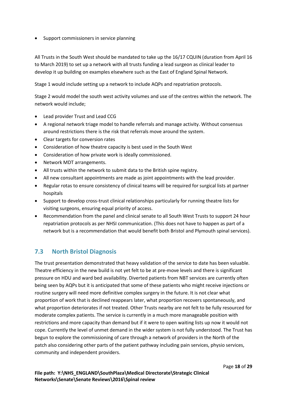• Support commissioners in service planning

All Trusts in the South West should be mandated to take up the 16/17 CQUIN (duration from April 16 to March 2019) to set up a network with all trusts funding a lead surgeon as clinical leader to develop it up building on examples elsewhere such as the East of England Spinal Network.

Stage 1 would include setting up a network to include AQPs and repatriation protocols.

Stage 2 would model the south west activity volumes and use of the centres within the network. The network would include;

- Lead provider Trust and Lead CCG
- A regional network triage model to handle referrals and manage activity. Without consensus around restrictions there is the risk that referrals move around the system.
- Clear targets for conversion rates
- Consideration of how theatre capacity is best used in the South West
- Consideration of how private work is ideally commissioned.
- Network MDT arrangements.
- All trusts within the network to submit data to the British spine registry.
- All new consultant appointments are made as joint appointments with the lead provider.
- Regular rotas to ensure consistency of clinical teams will be required for surgical lists at partner hospitals
- Support to develop cross-trust clinical relationships particularly for running theatre lists for visiting surgeons, ensuring equal priority of access.
- Recommendation from the panel and clinical senate to all South West Trusts to support 24 hour repatriation protocols as per NHSI communication. (This does not have to happen as part of a network but is a recommendation that would benefit both Bristol and Plymouth spinal services).

# <span id="page-17-0"></span>**7.3 North Bristol Diagnosis**

The trust presentation demonstrated that heavy validation of the service to date has been valuable. Theatre efficiency in the new build is not yet felt to be at pre-move levels and there is significant pressure on HDU and ward bed availability. Diverted patients from NBT services are currently often being seen by AQPs but it is anticipated that some of these patients who might receive injections or routine surgery will need more definitive complex surgery in the future. It is not clear what proportion of work that is declined reappears later, what proportion recovers spontaneously, and what proportion deteriorates if not treated. Other Trusts nearby are not felt to be fully resourced for moderate complex patients. The service is currently in a much more manageable position with restrictions and more capacity than demand but if it were to open waiting lists up now it would not cope. Currently the level of unmet demand in the wider system is not fully understood. The Trust has begun to explore the commissioning of care through a network of providers in the North of the patch also considering other parts of the patient pathway including pain services, physio services, community and independent providers.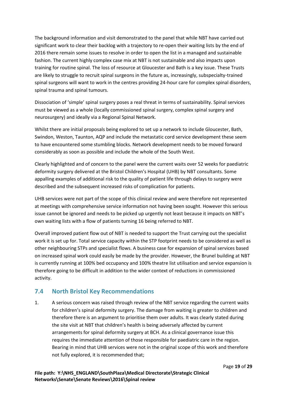The background information and visit demonstrated to the panel that while NBT have carried out significant work to clear their backlog with a trajectory to re-open their waiting lists by the end of 2016 there remain some issues to resolve in order to open the list in a managed and sustainable fashion. The current highly complex case mix at NBT is not sustainable and also impacts upon training for routine spinal. The loss of resource at Gloucester and Bath is a key issue. These Trusts are likely to struggle to recruit spinal surgeons in the future as, increasingly, subspecialty-trained spinal surgeons will want to work in the centres providing 24-hour care for complex spinal disorders, spinal trauma and spinal tumours.

Dissociation of 'simple' spinal surgery poses a real threat in terms of sustainability. Spinal services must be viewed as a whole (locally commissioned spinal surgery, complex spinal surgery and neurosurgery) and ideally via a Regional Spinal Network.

Whilst there are initial proposals being explored to set up a network to include Gloucester, Bath, Swindon, Weston, Taunton, AQP and include the metastatic cord service development these seem to have encountered some stumbling blocks. Network development needs to be moved forward considerably as soon as possible and include the whole of the South West.

Clearly highlighted and of concern to the panel were the current waits over 52 weeks for paediatric deformity surgery delivered at the Bristol Children's Hospital (UHB) by NBT consultants. Some appalling examples of additional risk to the quality of patient life through delays to surgery were described and the subsequent increased risks of complication for patients.

UHB services were not part of the scope of this clinical review and were therefore not represented at meetings with comprehensive service information not having been sought. However this serious issue cannot be ignored and needs to be picked up urgently not least because it impacts on NBT's own waiting lists with a flow of patients turning 16 being referred to NBT.

Overall improved patient flow out of NBT is needed to support the Trust carrying out the specialist work it is set up for. Total service capacity within the STP footprint needs to be considered as well as other neighbouring STPs and specialist flows. A business case for expansion of spinal services based on increased spinal work could easily be made by the provider. However, the Brunel building at NBT is currently running at 100% bed occupancy and 100% theatre list utilisation and service expansion is therefore going to be difficult in addition to the wider context of reductions in commissioned activity.

# <span id="page-18-0"></span>**7.4 North Bristol Key Recommendations**

1. A serious concern was raised through review of the NBT service regarding the current waits for children's spinal deformity surgery. The damage from waiting is greater to children and therefore there is an argument to prioritise them over adults. It was clearly stated during the site visit at NBT that children's health is being adversely affected by current arrangements for spinal deformity surgery at BCH. As a clinical governance issue this requires the immediate attention of those responsible for paediatric care in the region. Bearing in mind that UHB services were not in the original scope of this work and therefore not fully explored, it is recommended that;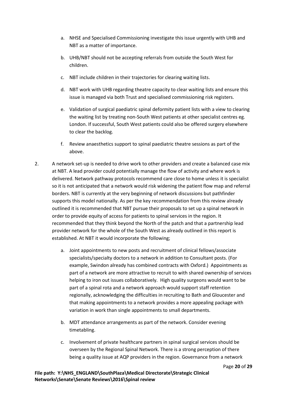- a. NHSE and Specialised Commissioning investigate this issue urgently with UHB and NBT as a matter of importance.
- b. UHB/NBT should not be accepting referrals from outside the South West for children.
- c. NBT include children in their trajectories for clearing waiting lists.
- d. NBT work with UHB regarding theatre capacity to clear waiting lists and ensure this issue is managed via both Trust and specialised commissioning risk registers.
- e. Validation of surgical paediatric spinal deformity patient lists with a view to clearing the waiting list by treating non-South West patients at other specialist centres eg. London. If successful, South West patients could also be offered surgery elsewhere to clear the backlog.
- f. Review anaesthetics support to spinal paediatric theatre sessions as part of the above.
- 2. A network set-up is needed to drive work to other providers and create a balanced case mix at NBT. A lead provider could potentially manage the flow of activity and where work is delivered. Network pathway protocols recommend care close to home unless it is specialist so it is not anticipated that a network would risk widening the patient flow map and referral borders. NBT is currently at the very beginning of network discussions but pathfinder supports this model nationally. As per the key recommendation from this review already outlined it is recommended that NBT pursue their proposals to set up a spinal network in order to provide equity of access for patients to spinal services in the region. It recommended that they think beyond the North of the patch and that a partnership lead provider network for the whole of the South West as already outlined in this report is established. At NBT it would incorporate the following;
	- a. Joint appointments to new posts and recruitment of clinical fellows/associate specialists/specialty doctors to a network in addition to Consultant posts. (For example, Swindon already has combined contracts with Oxford.) Appointments as part of a network are more attractive to recruit to with shared ownership of services helping to iron out issues collaboratively. High quality surgeons would want to be part of a spinal rota and a network approach would support staff retention regionally, acknowledging the difficulties in recruiting to Bath and Gloucester and that making appointments to a network provides a more appealing package with variation in work than single appointments to small departments.
	- b. MDT attendance arrangements as part of the network. Consider evening timetabling.
	- c. Involvement of private healthcare partners in spinal surgical services should be overseen by the Regional Spinal Network. There is a strong perception of there being a quality issue at AQP providers in the region. Governance from a network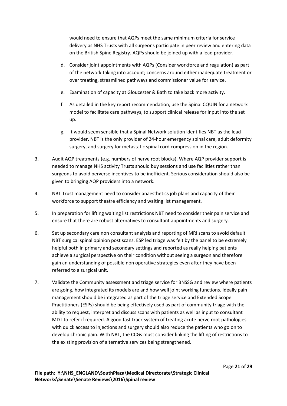would need to ensure that AQPs meet the same minimum criteria for service delivery as NHS Trusts with all surgeons participate in peer review and entering data on the British Spine Registry. AQPs should be joined up with a lead provider.

- d. Consider joint appointments with AQPs (Consider workforce and regulation) as part of the network taking into account; concerns around either inadequate treatment or over treating, streamlined pathways and commissioner value for service.
- e. Examination of capacity at Gloucester & Bath to take back more activity.
- f. As detailed in the key report recommendation, use the Spinal CQUIN for a network model to facilitate care pathways, to support clinical release for input into the set up.
- g. It would seem sensible that a Spinal Network solution identifies NBT as the lead provider. NBT is the only provider of 24-hour emergency spinal care, adult deformity surgery, and surgery for metastatic spinal cord compression in the region.
- 3. Audit AQP treatments (e.g. numbers of nerve root blocks). Where AQP provider support is needed to manage NHS activity Trusts should buy sessions and use facilities rather than surgeons to avoid perverse incentives to be inefficient. Serious consideration should also be given to bringing AQP providers into a network.
- 4. NBT Trust management need to consider anaesthetics job plans and capacity of their workforce to support theatre efficiency and waiting list management.
- 5. In preparation for lifting waiting list restrictions NBT need to consider their pain service and ensure that there are robust alternatives to consultant appointments and surgery.
- 6. Set up secondary care non consultant analysis and reporting of MRI scans to avoid default NBT surgical spinal opinion post scans. ESP led triage was felt by the panel to be extremely helpful both in primary and secondary settings and reported as really helping patients achieve a surgical perspective on their condition without seeing a surgeon and therefore gain an understanding of possible non operative strategies even after they have been referred to a surgical unit.
- 7. Validate the Community assessment and triage service for BNSSG and review where patients are going, how integrated its models are and how well joint working functions. Ideally pain management should be integrated as part of the triage service and Extended Scope Practitioners (ESPs) should be being effectively used as part of community triage with the ability to request, interpret and discuss scans with patients as well as input to consultant MDT to refer if required. A good fast track system of treating acute nerve root pathologies with quick access to injections and surgery should also reduce the patients who go on to develop chronic pain. With NBT, the CCGs must consider linking the lifting of restrictions to the existing provision of alternative services being strengthened.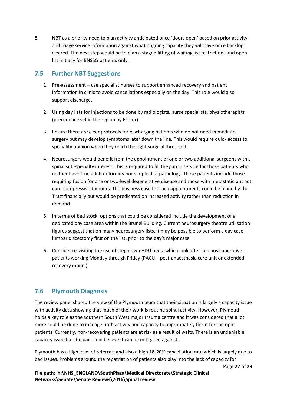8. NBT as a priority need to plan activity anticipated once 'doors open' based on prior activity and triage service information against what ongoing capacity they will have once backlog cleared. The next step would be to plan a staged lifting of waiting list restrictions and open list initially for BNSSG patients only.

## <span id="page-21-0"></span>**7.5 Further NBT Suggestions**

- 1. Pre-assessment use specialist nurses to support enhanced recovery and patient information in clinic to avoid cancellations especially on the day. This role would also support discharge.
- 2. Using day lists for injections to be done by radiologists, nurse specialists, physiotherapists (precedence set in the region by Exeter).
- 3. Ensure there are clear protocols for discharging patients who do not need immediate surgery but may develop symptoms later down the line. This would require quick access to speciality opinion when they reach the right surgical threshold.
- 4. Neurosurgery would benefit from the appointment of one or two additional surgeons with a spinal sub-specialty interest. This is required to fill the gap in service for those patients who neither have true adult deformity nor simple disc pathology. These patients include those requiring fusion for one or two-level degenerative disease and those with metastatic but not cord-compressive tumours. The business case for such appointments could be made by the Trust financially but would be predicated on increased activity rather than reduction in demand.
- 5. In terms of bed stock, options that could be considered include the development of a dedicated day case area within the Brunel Building. Current neurosurgery theatre utilisation figures suggest that on many neurosurgery lists, it may be possible to perform a day case lumbar discectomy first on the list, prior to the day's major case.
- 6. Consider re-visiting the use of step down HDU beds, which look after just post-operative patients working Monday through Friday (PACU – post-anaesthesia care unit or extended recovery model).

## <span id="page-21-1"></span>**7.6 Plymouth Diagnosis**

The review panel shared the view of the Plymouth team that their situation is largely a capacity issue with activity data showing that much of their work is routine spinal activity. However, Plymouth holds a key role as the southern South West major trauma centre and it was considered that a lot more could be done to manage both activity and capacity to appropriately flex it for the right patients. Currently, non-recovering patients are at risk as a result of waits. There is an undeniable capacity issue but the panel did believe it can be mitigated against.

Plymouth has a high level of referrals and also a high 18-20% cancellation rate which is largely due to bed issues. Problems around the repatriation of patients also play into the lack of capacity for

Page **22** of **29**

File path: Y:\NHS\_ENGLAND\SouthPlaza\Medical Directorate\Strategic Clinical **Networks\Senate\Senate Reviews\2016\Spinal review**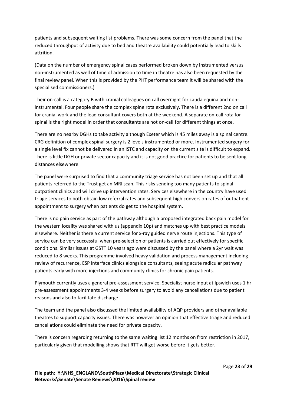patients and subsequent waiting list problems. There was some concern from the panel that the reduced throughput of activity due to bed and theatre availability could potentially lead to skills attrition.

(Data on the number of emergency spinal cases performed broken down by instrumented versus non-instrumented as well of time of admission to time in theatre has also been requested by the final review panel. When this is provided by the PHT performance team it will be shared with the specialised commissioners.)

Their on-call is a category B with cranial colleagues on call overnight for cauda equina and noninstrumental. Four people share the complex spine rota exclusively. There is a different 2nd on call for cranial work and the lead consultant covers both at the weekend. A separate on-call rota for spinal is the right model in order that consultants are not on-call for different things at once.

There are no nearby DGHs to take activity although Exeter which is 45 miles away is a spinal centre. CRG definition of complex spinal surgery is 2 levels instrumented or more. Instrumented surgery for a single level fix cannot be delivered in an ISTC and capacity on the current site is difficult to expand. There is little DGH or private sector capacity and it is not good practice for patients to be sent long distances elsewhere.

The panel were surprised to find that a community triage service has not been set up and that all patients referred to the Trust get an MRI scan. This risks sending too many patients to spinal outpatient clinics and will drive up intervention rates. Services elsewhere in the country have used triage services to both obtain low referral rates and subsequent high conversion rates of outpatient appointment to surgery when patients do get to the hospital system.

There is no pain service as part of the pathway although a proposed integrated back pain model for the western locality was shared with us (appendix 10p) and matches up with best practice models elsewhere. Neither is there a current service for x-ray guided nerve route injections. This type of service can be very successful when pre-selection of patients is carried out effectively for specific conditions. Similar issues at GSTT 10 years ago were discussed by the panel where a 2yr wait was reduced to 8 weeks. This programme involved heavy validation and process management including review of recurrence, ESP interface clinics alongside consultants, seeing acute radicular pathway patients early with more injections and community clinics for chronic pain patients.

Plymouth currently uses a general pre-assessment service. Specialist nurse input at Ipswich uses 1 hr pre-assessment appointments 3-4 weeks before surgery to avoid any cancellations due to patient reasons and also to facilitate discharge.

The team and the panel also discussed the limited availability of AQP providers and other available theatres to support capacity issues. There was however an opinion that effective triage and reduced cancellations could eliminate the need for private capacity.

There is concern regarding returning to the same waiting list 12 months on from restriction in 2017, particularly given that modelling shows that RTT will get worse before it gets better.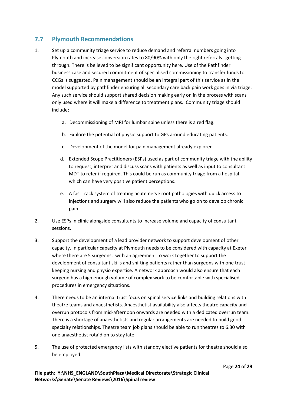# <span id="page-23-0"></span>**7.7 Plymouth Recommendations**

- 1. Set up a community triage service to reduce demand and referral numbers going into Plymouth and increase conversion rates to 80/90% with only the right referrals getting through. There is believed to be significant opportunity here. Use of the Pathfinder business case and secured commitment of specialised commissioning to transfer funds to CCGs is suggested. Pain management should be an integral part of this service as in the model supported by pathfinder ensuring all secondary care back pain work goes in via triage. Any such service should support shared decision making early on in the process with scans only used where it will make a difference to treatment plans. Community triage should include;
	- a. Decommissioning of MRI for lumbar spine unless there is a red flag.
	- b. Explore the potential of physio support to GPs around educating patients.
	- c. Development of the model for pain management already explored.
	- d. Extended Scope Practitioners (ESPs) used as part of community triage with the ability to request, interpret and discuss scans with patients as well as input to consultant MDT to refer if required. This could be run as community triage from a hospital which can have very positive patient perceptions.
	- e. A fast track system of treating acute nerve root pathologies with quick access to injections and surgery will also reduce the patients who go on to develop chronic pain.
- 2. Use ESPs in clinic alongside consultants to increase volume and capacity of consultant sessions.
- 3. Support the development of a lead provider network to support development of other capacity. In particular capacity at Plymouth needs to be considered with capacity at Exeter where there are 5 surgeons, with an agreement to work together to support the development of consultant skills and shifting patients rather than surgeons with one trust keeping nursing and physio expertise. A network approach would also ensure that each surgeon has a high enough volume of complex work to be comfortable with specialised procedures in emergency situations.
- 4. There needs to be an internal trust focus on spinal service links and building relations with theatre teams and anaesthetists. Anaesthetist availability also affects theatre capacity and overrun protocols from mid-afternoon onwards are needed with a dedicated overrun team. There is a shortage of anaesthetists and regular arrangements are needed to build good specialty relationships. Theatre team job plans should be able to run theatres to 6.30 with one anaesthetist rota'd on to stay late.
- 5. The use of protected emergency lists with standby elective patients for theatre should also be employed.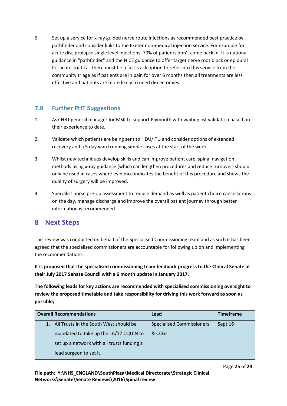6. Set up a service for x-ray guided nerve route injections as recommended best practice by pathfinder and consider links to the Exeter non-medical injection service. For example for acute disc prolapse single level injections, 70% of patients don't come back in. It is national guidance in "pathfinder" and the NICE guidance to offer target nerve root block or epidural for acute sciatica. There must be a fast track option to refer into this service from the community triage as if patients are in pain for over 6 months then all treatments are less effective and patients are more likely to need discectomies.

## <span id="page-24-0"></span>**7.8 Further PHT Suggestions**

- 1. Ask NBT general manager for MSK to support Plymouth with waiting list validation based on their experience to date.
- 2. Validate which patients are being sent to HDU/ITU and consider options of extended recovery and a 5 day ward running simple cases at the start of the week.
- 3. Whilst new techniques develop skills and can improve patient care, spinal navigation methods using x-ray guidance (which can lengthen procedures and reduce turnover) should only be used in cases where evidence indicates the benefit of this procedure and shows the quality of surgery will be improved.
- 4. Specialist nurse pre-op assessment to reduce demand as well as patient choice cancellations on the day, manage discharge and improve the overall patient journey through better information is recommended.

# <span id="page-24-1"></span>**8 Next Steps**

This review was conducted on behalf of the Specialised Commissioning team and as such it has been agreed that the specialised commissioners are accountable for following up on and implementing the recommendations.

**It is proposed that the specialised commissioning team feedback progress to the Clinical Senate at their July 2017 Senate Council with a 6 month update in January 2017.**

**The following leads for key actions are recommended with specialised commissioning oversight to review the proposed timetable and take responsibility for driving this work forward as soon as possible;**

| <b>Overall Recommendations</b>             | Lead                             | <b>Timeframe</b> |
|--------------------------------------------|----------------------------------|------------------|
| All Trusts in the South West should be     | <b>Specialised Commissioners</b> | Sept 16          |
| mandated to take up the 16/17 CQUIN to     | & CCGs                           |                  |
| set up a network with all trusts funding a |                                  |                  |
| lead surgeon to set it.                    |                                  |                  |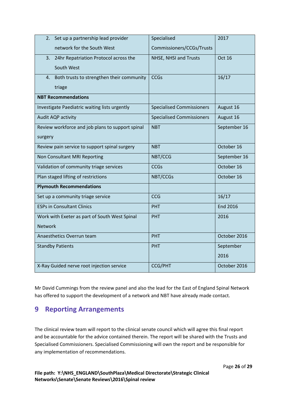| Set up a partnership lead provider<br>2.                      | Specialised                      | 2017            |
|---------------------------------------------------------------|----------------------------------|-----------------|
| network for the South West                                    | Commissioners/CCGs/Trusts        |                 |
| 3.<br>24hr Repatriation Protocol across the                   | NHSE, NHSI and Trusts            | <b>Oct 16</b>   |
| South West                                                    |                                  |                 |
| Both trusts to strengthen their community<br>$\overline{4}$ . | <b>CCGs</b>                      | 16/17           |
| triage                                                        |                                  |                 |
| <b>NBT Recommendations</b>                                    |                                  |                 |
| Investigate Paediatric waiting lists urgently                 | <b>Specialised Commissioners</b> | August 16       |
| Audit AQP activity                                            | <b>Specialised Commissioners</b> | August 16       |
| Review workforce and job plans to support spinal              | <b>NBT</b>                       | September 16    |
| surgery                                                       |                                  |                 |
| Review pain service to support spinal surgery                 | <b>NBT</b>                       | October 16      |
| Non Consultant MRI Reporting                                  | NBT/CCG                          | September 16    |
| Validation of community triage services                       | <b>CCGs</b>                      | October 16      |
| Plan staged lifting of restrictions                           | NBT/CCGs                         | October 16      |
| <b>Plymouth Recommendations</b>                               |                                  |                 |
| Set up a community triage service                             | <b>CCG</b>                       | 16/17           |
| <b>ESPs in Consultant Clinics</b>                             | <b>PHT</b>                       | <b>End 2016</b> |
| Work with Exeter as part of South West Spinal                 | <b>PHT</b>                       | 2016            |
| <b>Network</b>                                                |                                  |                 |
| Anaesthetics Overrun team                                     | <b>PHT</b>                       | October 2016    |
| <b>Standby Patients</b>                                       | <b>PHT</b>                       | September       |
|                                                               |                                  | 2016            |
| X-Ray Guided nerve root injection service                     | <b>CCG/PHT</b>                   | October 2016    |

Mr David Cummings from the review panel and also the lead for the East of England Spinal Network has offered to support the development of a network and NBT have already made contact.

# <span id="page-25-0"></span>**9 Reporting Arrangements**

The clinical review team will report to the clinical senate council which will agree this final report and be accountable for the advice contained therein. The report will be shared with the Trusts and Specialised Commissioners. Specialised Commissioning will own the report and be responsible for any implementation of recommendations.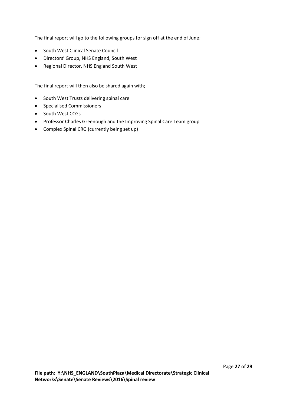The final report will go to the following groups for sign off at the end of June;

- South West Clinical Senate Council
- Directors' Group, NHS England, South West
- Regional Director, NHS England South West

The final report will then also be shared again with;

- South West Trusts delivering spinal care
- **•** Specialised Commissioners
- South West CCGs
- Professor Charles Greenough and the Improving Spinal Care Team group
- Complex Spinal CRG (currently being set up)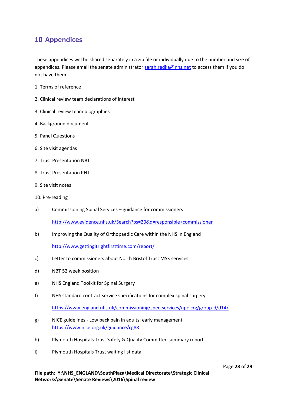# <span id="page-27-0"></span>**10 Appendices**

These appendices will be shared separately in a zip file or individually due to the number and size of appendices. Please email the senate administrator [sarah.redka@nhs.net](mailto:sarah.redka@nhs.net) to access them if you do not have them.

- 1. Terms of reference
- 2. Clinical review team declarations of interest
- 3. Clinical review team biographies
- 4. Background document
- 5. Panel Questions
- 6. Site visit agendas
- 7. Trust Presentation NBT
- 8. Trust Presentation PHT
- 9. Site visit notes
- 10. Pre-reading
- a) Commissioning Spinal Services guidance for commissioners <http://www.evidence.nhs.uk/Search?ps=20&q=responsible+commissioner>
- b) Improving the Quality of Orthopaedic Care within the NHS in England

<http://www.gettingitrightfirsttime.com/report/>

- c) Letter to commissioners about North Bristol Trust MSK services
- d) NBT 52 week position
- e) NHS England Toolkit for Spinal Surgery
- f) NHS standard contract service specifications for complex spinal surgery

<https://www.england.nhs.uk/commissioning/spec-services/npc-crg/group-d/d14/>

- g) NICE guidelines Low back pain in adults: early management <https://www.nice.org.uk/guidance/cg88>
- h) Plymouth Hospitals Trust Safety & Quality Committee summary report
- i) Plymouth Hospitals Trust waiting list data